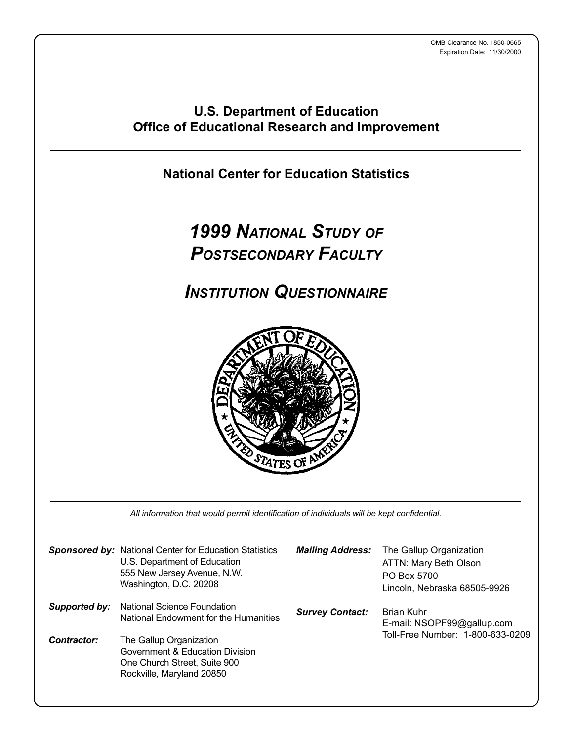### **U.S. Department of Education Office of Educational Research and Improvement**

**National Center for Education Statistics**

# *1999 NATIONAL STUDY OF POSTSECONDARY FACULTY*

*INSTITUTION QUESTIONNAIRE*



All information that would permit identification of individuals will be kept confidential.

|               | <b>Sponsored by: National Center for Education Statistics</b><br>U.S. Department of Education<br>555 New Jersey Avenue, N.W.<br>Washington, D.C. 20208 | <b>Mailing Address:</b> | The Gallup Organization<br>ATTN: Mary Beth Olson<br>PO Box 5700<br>Lincoln, Nebraska 68505-9926 |
|---------------|--------------------------------------------------------------------------------------------------------------------------------------------------------|-------------------------|-------------------------------------------------------------------------------------------------|
| Supported by: | National Science Foundation<br>National Endowment for the Humanities                                                                                   | <b>Survey Contact:</b>  | <b>Brian Kuhr</b><br>E-mail: NSOPF99@gallup.com                                                 |
| Contractor:   | The Gallup Organization<br>Government & Education Division<br>One Church Street, Suite 900<br>Rockville, Maryland 20850                                |                         | Toll-Free Number: 1-800-633-0209                                                                |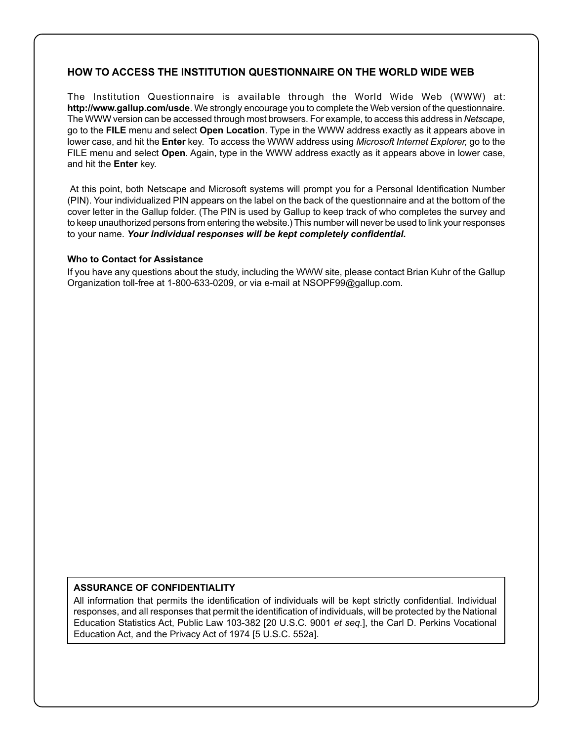### **HOW TO ACCESS THE INSTITUTION QUESTIONNAIRE ON THE WORLD WIDE WEB**

The Institution Questionnaire is available through the World Wide Web (WWW) at: **http://www.gallup.com/usde**. We strongly encourage you to complete the Web version of the questionnaire. The WWW version can be accessed through most browsers. For example, to access this address in Netscape, go to the **FILE** menu and select **Open Location**. Type in the WWW address exactly as it appears above in lower case, and hit the **Enter** key. To access the WWW address using Microsoft Internet Explorer, go to the FILE menu and select **Open**. Again, type in the WWW address exactly as it appears above in lower case, and hit the **Enter** key.

 At this point, both Netscape and Microsoft systems will prompt you for a Personal Identification Number (PIN). Your individualized PIN appears on the label on the back of the questionnaire and at the bottom of the cover letter in the Gallup folder. (The PIN is used by Gallup to keep track of who completes the survey and to keep unauthorized persons from entering the website.) This number will never be used to link your responses to your name. *Your individual responses will be kept completely confidential***.**

#### **Who to Contact for Assistance**

If you have any questions about the study, including the WWW site, please contact Brian Kuhr of the Gallup Organization toll-free at 1-800-633-0209, or via e-mail at NSOPF99@gallup.com.

#### **ASSURANCE OF CONFIDENTIALITY**

All information that permits the identification of individuals will be kept strictly confidential. Individual responses, and all responses that permit the identification of individuals, will be protected by the National Education Statistics Act, Public Law 103-382 [20 U.S.C. 9001 et seq.], the Carl D. Perkins Vocational Education Act, and the Privacy Act of 1974 [5 U.S.C. 552a].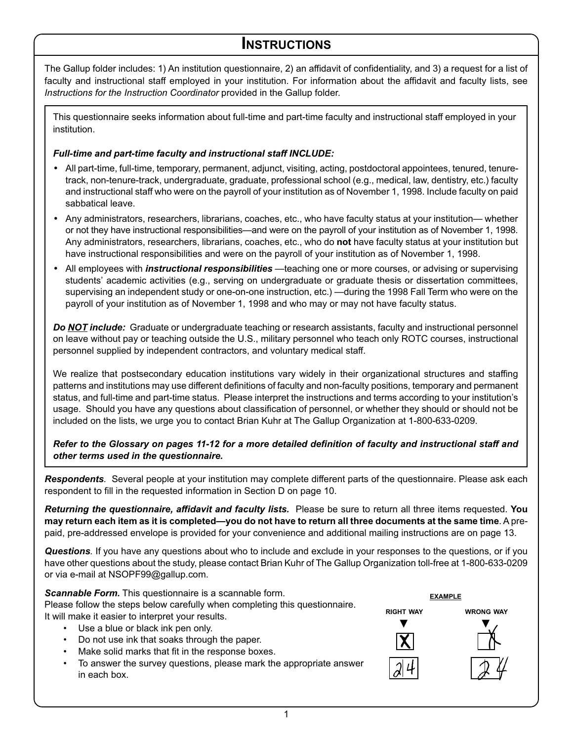### **INSTRUCTIONS**

The Gallup folder includes: 1) An institution questionnaire, 2) an affidavit of confidentiality, and 3) a request for a list of faculty and instructional staff employed in your institution. For information about the affidavit and faculty lists, see Instructions for the Instruction Coordinator provided in the Gallup folder.

This questionnaire seeks information about full-time and part-time faculty and instructional staff employed in your institution.

### *Full-time and part-time faculty and instructional staff INCLUDE:*

- All part-time, full-time, temporary, permanent, adjunct, visiting, acting, postdoctoral appointees, tenured, tenuretrack, non-tenure-track, undergraduate, graduate, professional school (e.g., medical, law, dentistry, etc.) faculty and instructional staff who were on the payroll of your institution as of November 1, 1998. Include faculty on paid sabbatical leave.
- Any administrators, researchers, librarians, coaches, etc., who have faculty status at your institution— whether or not they have instructional responsibilities—and were on the payroll of your institution as of November 1, 1998. Any administrators, researchers, librarians, coaches, etc., who do **not** have faculty status at your institution but have instructional responsibilities and were on the payroll of your institution as of November 1, 1998.
- All employees with *instructional responsibilities* —teaching one or more courses, or advising or supervising students' academic activities (e.g., serving on undergraduate or graduate thesis or dissertation committees, supervising an independent study or one-on-one instruction, etc.) —during the 1998 Fall Term who were on the payroll of your institution as of November 1, 1998 and who may or may not have faculty status.

*Do NOT include:* Graduate or undergraduate teaching or research assistants, faculty and instructional personnel on leave without pay or teaching outside the U.S., military personnel who teach only ROTC courses, instructional personnel supplied by independent contractors, and voluntary medical staff.

We realize that postsecondary education institutions vary widely in their organizational structures and staffing patterns and institutions may use different definitions of faculty and non-faculty positions, temporary and permanent status, and full-time and part-time status. Please interpret the instructions and terms according to your institution's usage. Should you have any questions about classification of personnel, or whether they should or should not be included on the lists, we urge you to contact Brian Kuhr at The Gallup Organization at 1-800-633-0209.

*Refer to the Glossary on pages 11-12 for a more detailed definition of faculty and instructional staff and other terms used in the questionnaire.*

*Respondents*. Several people at your institution may complete different parts of the questionnaire. Please ask each respondent to fill in the requested information in Section D on page 10.

*Returning the questionnaire, affidavit and faculty lists.* Please be sure to return all three items requested. **You may return each item as it is completed—you do not have to return all three documents at the same time**. A prepaid, pre-addressed envelope is provided for your convenience and additional mailing instructions are on page 13.

*Questions*. If you have any questions about who to include and exclude in your responses to the questions, or if you have other questions about the study, please contact Brian Kuhr of The Gallup Organization toll-free at 1-800-633-0209 or via e-mail at NSOPF99@gallup.com.

**Scannable Form.** This questionnaire is a scannable form. Please follow the steps below carefully when completing this questionnaire. It will make it easier to interpret your results.

- Use a blue or black ink pen only.
- Do not use ink that soaks through the paper.
- Make solid marks that fit in the response boxes.
- To answer the survey questions, please mark the appropriate answer in each box.



1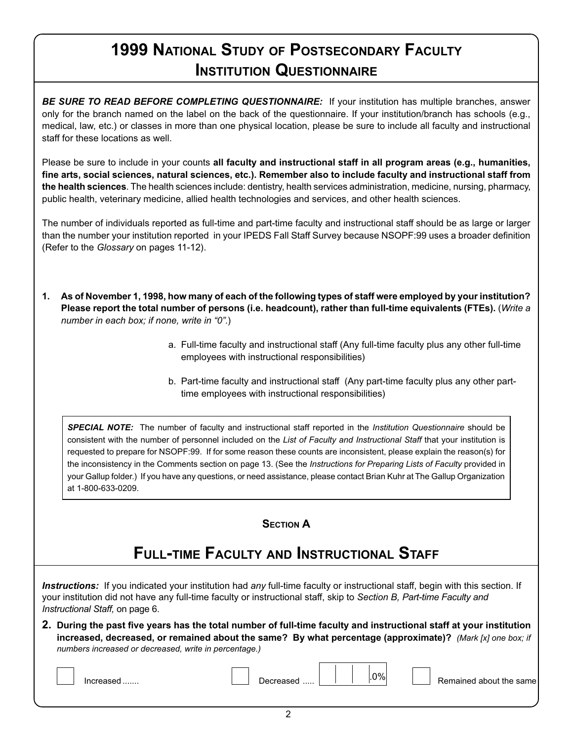# **1999 NATIONAL STUDY OF POSTSECONDARY FACULTY INSTITUTION QUESTIONNAIRE**

**BE SURE TO READ BEFORE COMPLETING QUESTIONNAIRE:** If your institution has multiple branches, answer only for the branch named on the label on the back of the questionnaire. If your institution/branch has schools (e.g., medical, law, etc.) or classes in more than one physical location, please be sure to include all faculty and instructional staff for these locations as well.

Please be sure to include in your counts **all faculty and instructional staff in all program areas (e.g., humanities, fine arts, social sciences, natural sciences, etc.). Remember also to include faculty and instructional staff from the health sciences**. The health sciences include: dentistry, health services administration, medicine, nursing, pharmacy, public health, veterinary medicine, allied health technologies and services, and other health sciences.

The number of individuals reported as full-time and part-time faculty and instructional staff should be as large or larger than the number your institution reported in your IPEDS Fall Staff Survey because NSOPF:99 uses a broader definition (Refer to the Glossary on pages 11-12).

- **1. As of November 1, 1998, how many of each of the following types of staff were employed by your institution? Please report the total number of persons (i.e. headcount), rather than full-time equivalents (FTEs).** (Write a number in each box; if none, write in "0".)
	- a. Full-time faculty and instructional staff (Any full-time faculty plus any other full-time employees with instructional responsibilities)
	- b. Part-time faculty and instructional staff (Any part-time faculty plus any other parttime employees with instructional responsibilities)

**SPECIAL NOTE:** The number of faculty and instructional staff reported in the Institution Questionnaire should be consistent with the number of personnel included on the List of Faculty and Instructional Staff that your institution is requested to prepare for NSOPF:99. If for some reason these counts are inconsistent, please explain the reason(s) for the inconsistency in the Comments section on page 13. (See the Instructions for Preparing Lists of Faculty provided in your Gallup folder.) If you have any questions, or need assistance, please contact Brian Kuhr at The Gallup Organization at 1-800-633-0209.

### **SECTION A**

# **FULL-TIME FACULTY AND INSTRUCTIONAL STAFF**

Instructions: If you indicated your institution had any full-time faculty or instructional staff, begin with this section. If your institution did not have any full-time faculty or instructional staff, skip to Section B, Part-time Faculty and Instructional Staff, on page 6.

**2. During the past five years has the total number of full-time faculty and instructional staff at your institution increased, decreased, or remained about the same? By what percentage (approximate)?** (Mark [x] one box; if numbers increased or decreased, write in percentage.)

| -<br>necreased<br>Increased | $.0\%$ | Remained about the same |
|-----------------------------|--------|-------------------------|
|-----------------------------|--------|-------------------------|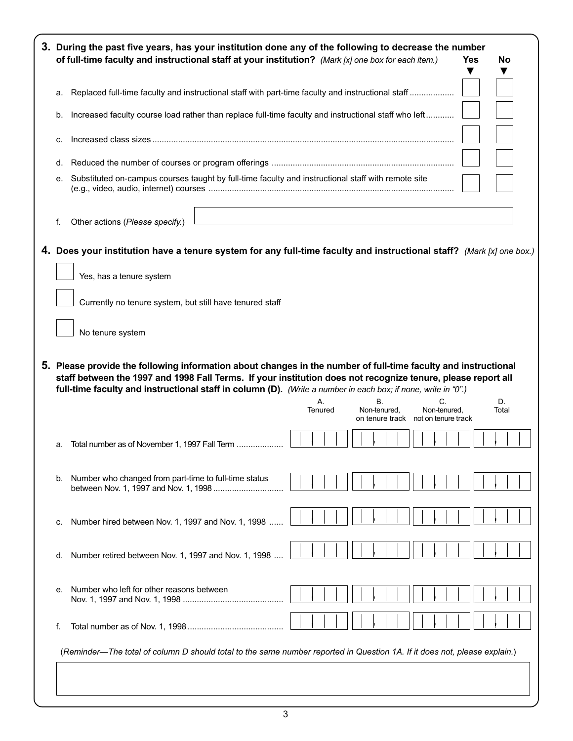|                                                                                                      | 3. During the past five years, has your institution done any of the following to decrease the number<br>of full-time faculty and instructional staff at your institution? (Mark [x] one box for each item.)                                        |  |               |  |  |                                                           |  |  |                    | Yes |             | No |
|------------------------------------------------------------------------------------------------------|----------------------------------------------------------------------------------------------------------------------------------------------------------------------------------------------------------------------------------------------------|--|---------------|--|--|-----------------------------------------------------------|--|--|--------------------|-----|-------------|----|
| a. Replaced full-time faculty and instructional staff with part-time faculty and instructional staff |                                                                                                                                                                                                                                                    |  |               |  |  |                                                           |  |  |                    |     |             |    |
| b.                                                                                                   | Increased faculty course load rather than replace full-time faculty and instructional staff who left                                                                                                                                               |  |               |  |  |                                                           |  |  |                    |     |             |    |
| c.                                                                                                   |                                                                                                                                                                                                                                                    |  |               |  |  |                                                           |  |  |                    |     |             |    |
|                                                                                                      |                                                                                                                                                                                                                                                    |  |               |  |  |                                                           |  |  |                    |     |             |    |
| е.                                                                                                   | Substituted on-campus courses taught by full-time faculty and instructional staff with remote site                                                                                                                                                 |  |               |  |  |                                                           |  |  |                    |     |             |    |
| f.                                                                                                   | Other actions (Please specify.)                                                                                                                                                                                                                    |  |               |  |  |                                                           |  |  |                    |     |             |    |
|                                                                                                      | 4. Does your institution have a tenure system for any full-time faculty and instructional staff? (Mark [x] one box.)                                                                                                                               |  |               |  |  |                                                           |  |  |                    |     |             |    |
|                                                                                                      | Yes, has a tenure system                                                                                                                                                                                                                           |  |               |  |  |                                                           |  |  |                    |     |             |    |
|                                                                                                      | Currently no tenure system, but still have tenured staff                                                                                                                                                                                           |  |               |  |  |                                                           |  |  |                    |     |             |    |
|                                                                                                      |                                                                                                                                                                                                                                                    |  |               |  |  |                                                           |  |  |                    |     |             |    |
|                                                                                                      |                                                                                                                                                                                                                                                    |  |               |  |  |                                                           |  |  |                    |     |             |    |
|                                                                                                      | No tenure system<br>5. Please provide the following information about changes in the number of full-time faculty and instructional<br>staff between the 1997 and 1998 Fall Terms. If your institution does not recognize tenure, please report all |  |               |  |  |                                                           |  |  |                    |     |             |    |
|                                                                                                      | full-time faculty and instructional staff in column (D). (Write a number in each box; if none, write in "0".)                                                                                                                                      |  | Α.<br>Tenured |  |  | В.<br>Non-tenured.<br>on tenure track not on tenure track |  |  | C.<br>Non-tenured, |     | D.<br>Total |    |
| а.                                                                                                   | Total number as of November 1, 1997 Fall Term                                                                                                                                                                                                      |  |               |  |  |                                                           |  |  |                    |     |             |    |
| b.                                                                                                   | Number who changed from part-time to full-time status                                                                                                                                                                                              |  |               |  |  |                                                           |  |  |                    |     |             |    |
| c.                                                                                                   | Number hired between Nov. 1, 1997 and Nov. 1, 1998                                                                                                                                                                                                 |  |               |  |  |                                                           |  |  |                    |     |             |    |
| d.                                                                                                   | Number retired between Nov. 1, 1997 and Nov. 1, 1998                                                                                                                                                                                               |  |               |  |  |                                                           |  |  |                    |     |             |    |
| е.                                                                                                   | Number who left for other reasons between                                                                                                                                                                                                          |  |               |  |  |                                                           |  |  |                    |     |             |    |
| f.                                                                                                   |                                                                                                                                                                                                                                                    |  |               |  |  |                                                           |  |  |                    |     |             |    |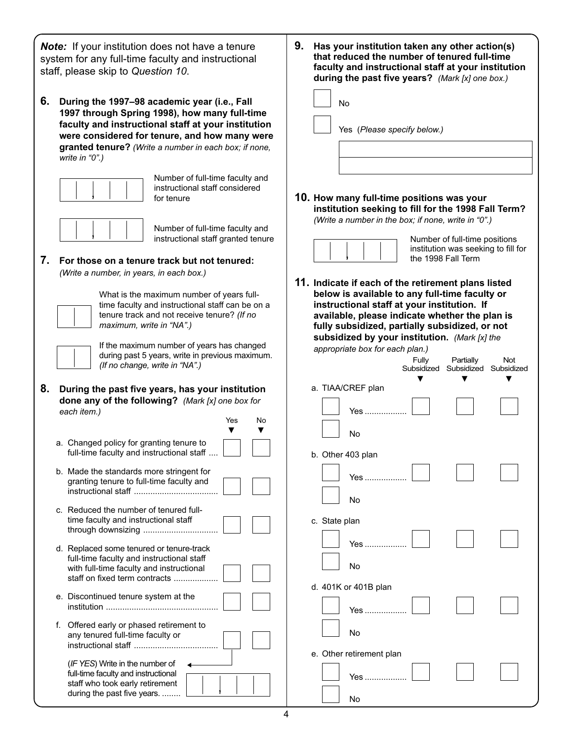*Note:* If your institution does not have a tenure system for any full-time faculty and instructional staff, please skip to Question 10.

**6. During the 1997–98 academic year (i.e., Fall 1997 through Spring 1998), how many full-time faculty and instructional staff at your institution were considered for tenure, and how many were granted tenure?** (Write a number in each box; if none, write in "0".)



Number of full-time faculty and instructional staff considered for tenure



Number of full-time faculty and instructional staff granted tenure

Yes No

**7. For those on a tenure track but not tenured:** (Write a number, in years, in each box.)



What is the maximum number of years fulltime faculty and instructional staff can be on a tenure track and not receive tenure? (If no maximum, write in "NA".)

If the maximum number of years has changed during past 5 years, write in previous maximum. (If no change, write in "NA".)

**8. During the past five years, has your institution done any of the following?** (Mark [x] one box for each item.)

|    | a. Changed policy for granting tenure to<br>full-time faculty and instructional staff                                                                              |  |
|----|--------------------------------------------------------------------------------------------------------------------------------------------------------------------|--|
|    | b. Made the standards more stringent for<br>granting tenure to full-time faculty and                                                                               |  |
|    | c. Reduced the number of tenured full-<br>time faculty and instructional staff<br>through downsizing                                                               |  |
|    | d. Replaced some tenured or tenure-track<br>full-time faculty and instructional staff<br>with full-time faculty and instructional<br>staff on fixed term contracts |  |
|    | e. Discontinued tenure system at the                                                                                                                               |  |
| f. | Offered early or phased retirement to<br>any tenured full-time faculty or                                                                                          |  |

(IF YES) Write in the number of full-time faculty and instructional staff who took early retirement during the past five years. ........

- **9. Has your institution taken any other action(s) that reduced the number of tenured full-time faculty and instructional staff at your institution during the past five years?** (Mark [x] one box.) No Yes (Please specify below.)
- **10. How many full-time positions was your institution seeking to fill for the 1998 Fall Term?** (Write a number in the box; if none, write in "0".)



Number of full-time positions institution was seeking to fill for the 1998 Fall Term

**11. Indicate if each of the retirement plans listed below is available to any full-time faculty or instructional staff at your institution. If available, please indicate whether the plan is fully subsidized, partially subsidized, or not subsidized by your institution.** (Mark [x] the appropriate box

| appropriate box for each plan.) |       |                                  |         |
|---------------------------------|-------|----------------------------------|---------|
|                                 | г. п. | $D$ $\sim$ $H$ $\sim$ $H$ $\sim$ | $N - 1$ |

|                   |                          | rully | <b>Falually</b><br>Subsidized Subsidized Subsidized | <b>INOL</b> |
|-------------------|--------------------------|-------|-----------------------------------------------------|-------------|
|                   | a. TIAA/CREF plan        |       |                                                     |             |
|                   | Yes                      |       |                                                     |             |
|                   | No                       |       |                                                     |             |
| b. Other 403 plan |                          |       |                                                     |             |
|                   | Yes                      |       |                                                     |             |
|                   | <b>No</b>                |       |                                                     |             |
| c. State plan     |                          |       |                                                     |             |
|                   | Yes                      |       |                                                     |             |
|                   | No                       |       |                                                     |             |
|                   | d. 401K or 401B plan     |       |                                                     |             |
|                   | Yes                      |       |                                                     |             |
|                   | No                       |       |                                                     |             |
|                   | e. Other retirement plan |       |                                                     |             |
|                   | Yes                      |       |                                                     |             |
|                   | No                       |       |                                                     |             |

,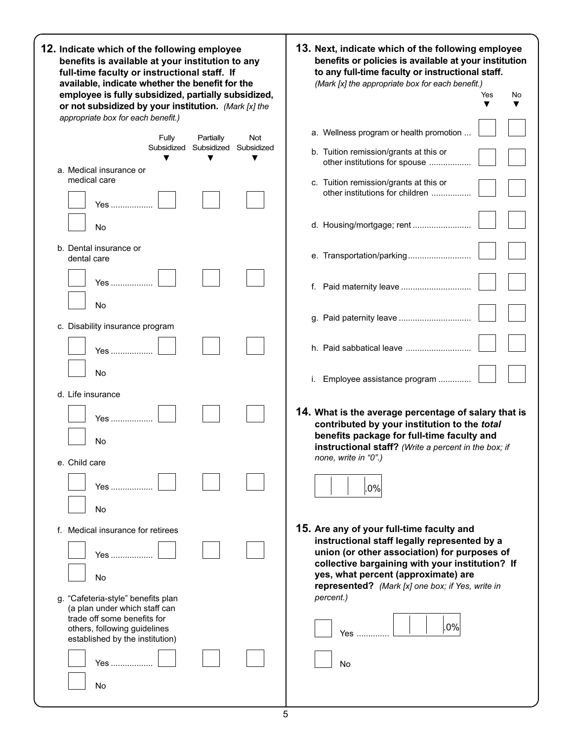| 12. Indicate which of the following employee<br>benefits is available at your institution to any<br>full-time faculty or instructional staff. If<br>available, indicate whether the benefit for the | 13. Next, indicate which of the following employee<br>benefits or policies is available at your institution<br>to any full-time faculty or instructional staff.<br>(Mark [x] the appropriate box for each benefit.) |
|-----------------------------------------------------------------------------------------------------------------------------------------------------------------------------------------------------|---------------------------------------------------------------------------------------------------------------------------------------------------------------------------------------------------------------------|
| employee is fully subsidized, partially subsidized,                                                                                                                                                 | Yes<br>No                                                                                                                                                                                                           |
| or not subsidized by your institution. (Mark [x] the<br>appropriate box for each benefit.)                                                                                                          | ▼                                                                                                                                                                                                                   |
| Fully<br>Partially<br>Not                                                                                                                                                                           | a. Wellness program or health promotion                                                                                                                                                                             |
| Subsidized Subsidized<br>Subsidized                                                                                                                                                                 | b. Tuition remission/grants at this or                                                                                                                                                                              |
| a. Medical insurance or                                                                                                                                                                             | other institutions for spouse                                                                                                                                                                                       |
| medical care                                                                                                                                                                                        | c. Tuition remission/grants at this or                                                                                                                                                                              |
| Yes                                                                                                                                                                                                 | other institutions for children                                                                                                                                                                                     |
| No                                                                                                                                                                                                  | d. Housing/mortgage; rent                                                                                                                                                                                           |
| b. Dental insurance or<br>dental care                                                                                                                                                               | e. Transportation/parking                                                                                                                                                                                           |
| Yes                                                                                                                                                                                                 |                                                                                                                                                                                                                     |
| No<br>c. Disability insurance program                                                                                                                                                               |                                                                                                                                                                                                                     |
| Yes                                                                                                                                                                                                 |                                                                                                                                                                                                                     |
| No                                                                                                                                                                                                  | i. Employee assistance program                                                                                                                                                                                      |
| d. Life insurance                                                                                                                                                                                   |                                                                                                                                                                                                                     |
| Yes                                                                                                                                                                                                 | 14. What is the average percentage of salary that is<br>contributed by your institution to the total                                                                                                                |
| No                                                                                                                                                                                                  | benefits package for full-time faculty and<br>instructional staff? (Write a percent in the box; if                                                                                                                  |
| e. Child care                                                                                                                                                                                       | none, write in "0".)                                                                                                                                                                                                |
| Yes ……………                                                                                                                                                                                           | $.0\%$                                                                                                                                                                                                              |
| No                                                                                                                                                                                                  |                                                                                                                                                                                                                     |
| f. Medical insurance for retirees                                                                                                                                                                   | 15. Are any of your full-time faculty and<br>instructional staff legally represented by a                                                                                                                           |
| Yes                                                                                                                                                                                                 | union (or other association) for purposes of<br>collective bargaining with your institution? If                                                                                                                     |
| No                                                                                                                                                                                                  | yes, what percent (approximate) are<br>represented? (Mark [x] one box; if Yes, write in                                                                                                                             |
| g. "Cafeteria-style" benefits plan<br>(a plan under which staff can<br>trade off some benefits for<br>others, following guidelines<br>established by the institution)                               | percent.)<br>$.0\%$<br>Yes                                                                                                                                                                                          |
| Yes                                                                                                                                                                                                 | No                                                                                                                                                                                                                  |
| No                                                                                                                                                                                                  |                                                                                                                                                                                                                     |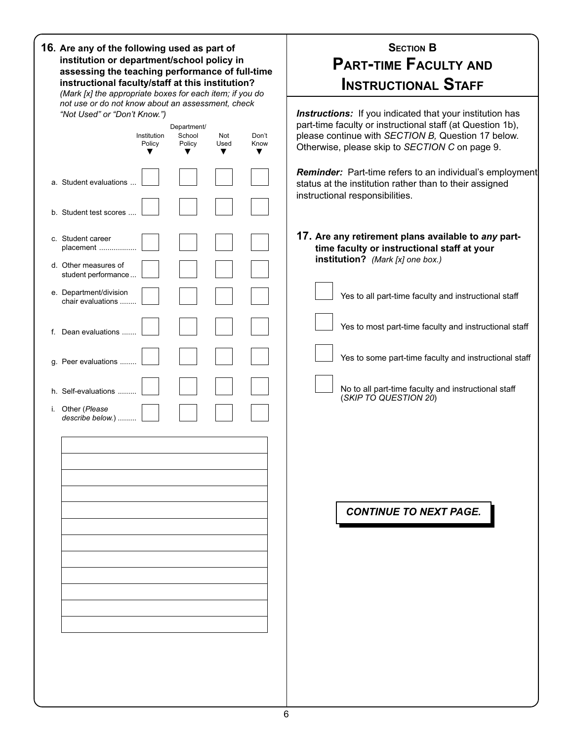|    | 16. Are any of the following used as part of<br>institution or department/school policy in<br>assessing the teaching performance of full-time<br>instructional faculty/staff at this institution?<br>(Mark [x] the appropriate boxes for each item; if you do<br>not use or do not know about an assessment, check |                       |                                 |                  |               | <b>SECTION B</b><br><b>PART-TIME FACULTY AND</b><br><b>INSTRUCTIONAL STAFF</b>                                                                                                                                                                                                                                                                                                                                                    |
|----|--------------------------------------------------------------------------------------------------------------------------------------------------------------------------------------------------------------------------------------------------------------------------------------------------------------------|-----------------------|---------------------------------|------------------|---------------|-----------------------------------------------------------------------------------------------------------------------------------------------------------------------------------------------------------------------------------------------------------------------------------------------------------------------------------------------------------------------------------------------------------------------------------|
|    | "Not Used" or "Don't Know.")                                                                                                                                                                                                                                                                                       | Institution<br>Policy | Department/<br>School<br>Policy | Not<br>Used<br>▼ | Don't<br>Know | <b>Instructions:</b> If you indicated that your institution has<br>part-time faculty or instructional staff (at Question 1b),<br>please continue with SECTION B, Question 17 below.<br>Otherwise, please skip to SECTION C on page 9.                                                                                                                                                                                             |
|    | a. Student evaluations                                                                                                                                                                                                                                                                                             |                       |                                 |                  |               | <b>Reminder:</b> Part-time refers to an individual's employment<br>status at the institution rather than to their assigned<br>instructional responsibilities.                                                                                                                                                                                                                                                                     |
| i. | b. Student test scores<br>c. Student career<br>placement<br>d. Other measures of<br>student performance<br>e. Department/division<br>chair evaluations<br>f. Dean evaluations<br>g. Peer evaluations<br>h. Self-evaluations<br>Other (Please<br>describe below.)                                                   |                       |                                 |                  |               | 17. Are any retirement plans available to any part-<br>time faculty or instructional staff at your<br>institution? (Mark [x] one box.)<br>Yes to all part-time faculty and instructional staff<br>Yes to most part-time faculty and instructional staff<br>Yes to some part-time faculty and instructional staff<br>No to all part-time faculty and instructional staff<br>(SKIP TO QUESTION 20)<br><b>CONTINUE TO NEXT PAGE.</b> |
|    |                                                                                                                                                                                                                                                                                                                    |                       |                                 |                  |               |                                                                                                                                                                                                                                                                                                                                                                                                                                   |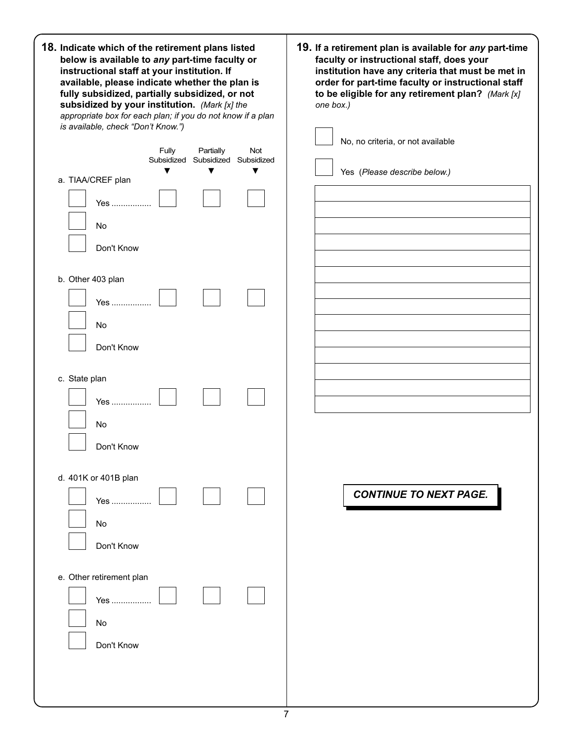| 18. Indicate which of the retirement plans listed<br>below is available to any part-time faculty or<br>instructional staff at your institution. If<br>available, please indicate whether the plan is<br>fully subsidized, partially subsidized, or not<br>subsidized by your institution. (Mark [x] the<br>appropriate box for each plan; if you do not know if a plan<br>is available, check "Don't Know.") | 19. If a retirement plan is available for any part-time<br>faculty or instructional staff, does your<br>institution have any criteria that must be met in<br>order for part-time faculty or instructional staff<br>to be eligible for any retirement plan? (Mark [x]<br>one box.)<br>No, no criteria, or not available |
|--------------------------------------------------------------------------------------------------------------------------------------------------------------------------------------------------------------------------------------------------------------------------------------------------------------------------------------------------------------------------------------------------------------|------------------------------------------------------------------------------------------------------------------------------------------------------------------------------------------------------------------------------------------------------------------------------------------------------------------------|
| Fully<br>Partially<br>Not<br>Subsidized Subsidized Subsidized<br>▼<br>▼<br>▼<br>a. TIAA/CREF plan<br>Yes                                                                                                                                                                                                                                                                                                     | Yes (Please describe below.)                                                                                                                                                                                                                                                                                           |
| No<br>Don't Know<br>b. Other 403 plan                                                                                                                                                                                                                                                                                                                                                                        |                                                                                                                                                                                                                                                                                                                        |
| Yes ……………<br>No<br>Don't Know                                                                                                                                                                                                                                                                                                                                                                                |                                                                                                                                                                                                                                                                                                                        |
| c. State plan<br>Yes<br>No                                                                                                                                                                                                                                                                                                                                                                                   |                                                                                                                                                                                                                                                                                                                        |
| Don't Know<br>d. 401K or 401B plan<br>Yes<br>No<br>Don't Know                                                                                                                                                                                                                                                                                                                                                | <b>CONTINUE TO NEXT PAGE.</b>                                                                                                                                                                                                                                                                                          |
| e. Other retirement plan<br>Yes<br>No<br>Don't Know                                                                                                                                                                                                                                                                                                                                                          |                                                                                                                                                                                                                                                                                                                        |
|                                                                                                                                                                                                                                                                                                                                                                                                              |                                                                                                                                                                                                                                                                                                                        |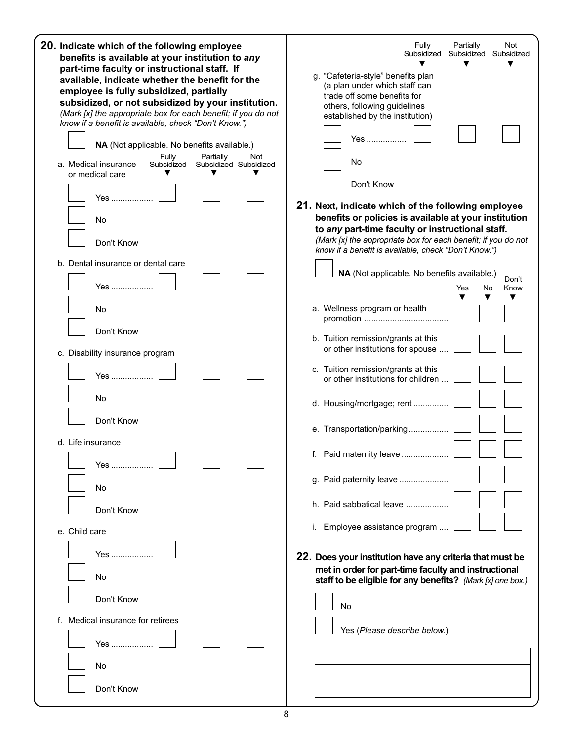| 20. Indicate which of the following employee<br>benefits is available at your institution to any<br>part-time faculty or instructional staff. If<br>available, indicate whether the benefit for the<br>employee is fully subsidized, partially<br>subsidized, or not subsidized by your institution.<br>(Mark [x] the appropriate box for each benefit; if you do not<br>know if a benefit is available, check "Don't Know.")<br>NA (Not applicable. No benefits available.)<br>Fully<br>Partially<br>Not<br>a. Medical insurance<br>Subsidized<br>Subsidized Subsidized<br>or medical care<br>Yes<br>No<br>Don't Know | Partially<br>Fully<br>Not<br>Subsidized<br>Subsidized<br>Subsidized<br>g. "Cafeteria-style" benefits plan<br>(a plan under which staff can<br>trade off some benefits for<br>others, following guidelines<br>established by the institution)<br>Yes<br>No<br>Don't Know<br>21. Next, indicate which of the following employee<br>benefits or policies is available at your institution<br>to any part-time faculty or instructional staff.<br>(Mark [x] the appropriate box for each benefit; if you do not<br>know if a benefit is available, check "Don't Know.") |
|------------------------------------------------------------------------------------------------------------------------------------------------------------------------------------------------------------------------------------------------------------------------------------------------------------------------------------------------------------------------------------------------------------------------------------------------------------------------------------------------------------------------------------------------------------------------------------------------------------------------|---------------------------------------------------------------------------------------------------------------------------------------------------------------------------------------------------------------------------------------------------------------------------------------------------------------------------------------------------------------------------------------------------------------------------------------------------------------------------------------------------------------------------------------------------------------------|
| b. Dental insurance or dental care                                                                                                                                                                                                                                                                                                                                                                                                                                                                                                                                                                                     | NA (Not applicable. No benefits available.)                                                                                                                                                                                                                                                                                                                                                                                                                                                                                                                         |
| Yes                                                                                                                                                                                                                                                                                                                                                                                                                                                                                                                                                                                                                    | Don't<br>No<br>Know<br>Yes                                                                                                                                                                                                                                                                                                                                                                                                                                                                                                                                          |
| No                                                                                                                                                                                                                                                                                                                                                                                                                                                                                                                                                                                                                     | ▼<br>▼<br>a. Wellness program or health                                                                                                                                                                                                                                                                                                                                                                                                                                                                                                                             |
| Don't Know                                                                                                                                                                                                                                                                                                                                                                                                                                                                                                                                                                                                             |                                                                                                                                                                                                                                                                                                                                                                                                                                                                                                                                                                     |
| c. Disability insurance program                                                                                                                                                                                                                                                                                                                                                                                                                                                                                                                                                                                        | b. Tuition remission/grants at this<br>or other institutions for spouse                                                                                                                                                                                                                                                                                                                                                                                                                                                                                             |
| Yes                                                                                                                                                                                                                                                                                                                                                                                                                                                                                                                                                                                                                    | c. Tuition remission/grants at this<br>or other institutions for children                                                                                                                                                                                                                                                                                                                                                                                                                                                                                           |
| No                                                                                                                                                                                                                                                                                                                                                                                                                                                                                                                                                                                                                     | d. Housing/mortgage; rent                                                                                                                                                                                                                                                                                                                                                                                                                                                                                                                                           |
| Don't Know                                                                                                                                                                                                                                                                                                                                                                                                                                                                                                                                                                                                             | e. Transportation/parking                                                                                                                                                                                                                                                                                                                                                                                                                                                                                                                                           |
| d. Life insurance                                                                                                                                                                                                                                                                                                                                                                                                                                                                                                                                                                                                      |                                                                                                                                                                                                                                                                                                                                                                                                                                                                                                                                                                     |
| Yes                                                                                                                                                                                                                                                                                                                                                                                                                                                                                                                                                                                                                    | f.<br>Paid maternity leave                                                                                                                                                                                                                                                                                                                                                                                                                                                                                                                                          |
| No                                                                                                                                                                                                                                                                                                                                                                                                                                                                                                                                                                                                                     | g. Paid paternity leave                                                                                                                                                                                                                                                                                                                                                                                                                                                                                                                                             |
| Don't Know                                                                                                                                                                                                                                                                                                                                                                                                                                                                                                                                                                                                             | h. Paid sabbatical leave                                                                                                                                                                                                                                                                                                                                                                                                                                                                                                                                            |
| e. Child care                                                                                                                                                                                                                                                                                                                                                                                                                                                                                                                                                                                                          | i. Employee assistance program                                                                                                                                                                                                                                                                                                                                                                                                                                                                                                                                      |
|                                                                                                                                                                                                                                                                                                                                                                                                                                                                                                                                                                                                                        |                                                                                                                                                                                                                                                                                                                                                                                                                                                                                                                                                                     |
| Yes                                                                                                                                                                                                                                                                                                                                                                                                                                                                                                                                                                                                                    | 22. Does your institution have any criteria that must be<br>met in order for part-time faculty and instructional                                                                                                                                                                                                                                                                                                                                                                                                                                                    |
| No                                                                                                                                                                                                                                                                                                                                                                                                                                                                                                                                                                                                                     | staff to be eligible for any benefits? (Mark [x] one box.)                                                                                                                                                                                                                                                                                                                                                                                                                                                                                                          |
| Don't Know                                                                                                                                                                                                                                                                                                                                                                                                                                                                                                                                                                                                             | <b>No</b>                                                                                                                                                                                                                                                                                                                                                                                                                                                                                                                                                           |
| Medical insurance for retirees<br>Yes                                                                                                                                                                                                                                                                                                                                                                                                                                                                                                                                                                                  | Yes (Please describe below.)                                                                                                                                                                                                                                                                                                                                                                                                                                                                                                                                        |
|                                                                                                                                                                                                                                                                                                                                                                                                                                                                                                                                                                                                                        |                                                                                                                                                                                                                                                                                                                                                                                                                                                                                                                                                                     |
| No                                                                                                                                                                                                                                                                                                                                                                                                                                                                                                                                                                                                                     |                                                                                                                                                                                                                                                                                                                                                                                                                                                                                                                                                                     |
| Don't Know                                                                                                                                                                                                                                                                                                                                                                                                                                                                                                                                                                                                             |                                                                                                                                                                                                                                                                                                                                                                                                                                                                                                                                                                     |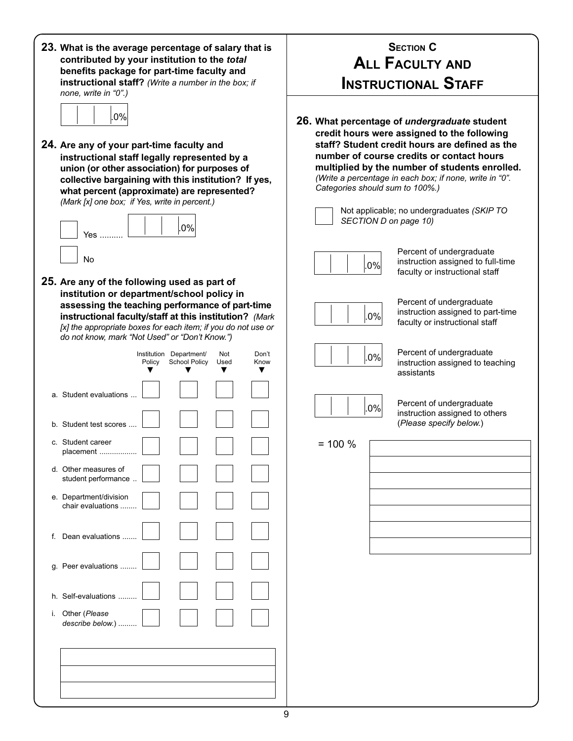| 23. What is the average percentage of salary that is<br>contributed by your institution to the total<br>benefits package for part-time faculty and<br>instructional staff? (Write a number in the box; if<br>none, write in "0".)                                                                                        | <b>SECTION C</b><br><b>ALL FACULTY AND</b><br><b>INSTRUCTIONAL STAFF</b>                                                                                                                                                                                                                                                                                                                                          |
|--------------------------------------------------------------------------------------------------------------------------------------------------------------------------------------------------------------------------------------------------------------------------------------------------------------------------|-------------------------------------------------------------------------------------------------------------------------------------------------------------------------------------------------------------------------------------------------------------------------------------------------------------------------------------------------------------------------------------------------------------------|
| 0%<br>24. Are any of your part-time faculty and<br>instructional staff legally represented by a<br>union (or other association) for purposes of<br>collective bargaining with this institution? If yes,<br>what percent (approximate) are represented?<br>(Mark [x] one box; if Yes, write in percent.)<br>$.0\%$<br>Yes | 26. What percentage of undergraduate student<br>credit hours were assigned to the following<br>staff? Student credit hours are defined as the<br>number of course credits or contact hours<br>multiplied by the number of students enrolled.<br>(Write a percentage in each box; if none, write in "0".<br>Categories should sum to 100%.)<br>Not applicable; no undergraduates (SKIP TO<br>SECTION D on page 10) |
| No<br>25. Are any of the following used as part of<br>institution or department/school policy in<br>assessing the teaching performance of part-time                                                                                                                                                                      | Percent of undergraduate<br>instruction assigned to full-time<br>$.0\%$<br>faculty or instructional staff<br>Percent of undergraduate<br>instruction assigned to part-time                                                                                                                                                                                                                                        |
| instructional faculty/staff at this institution? (Mark<br>[x] the appropriate boxes for each item; if you do not use or<br>do not know, mark "Not Used" or "Don't Know.")<br>Institution Department/<br>Not<br>Don't<br><b>School Policy</b><br>Used<br>Know<br>Policy                                                   | .0%<br>faculty or instructional staff<br>Percent of undergraduate<br>$.0\%$<br>instruction assigned to teaching<br>assistants                                                                                                                                                                                                                                                                                     |
| a. Student evaluations<br>b. Student test scores                                                                                                                                                                                                                                                                         | Percent of undergraduate<br>$.0\%$<br>instruction assigned to others<br>(Please specify below.)                                                                                                                                                                                                                                                                                                                   |
| c. Student career<br>placement.                                                                                                                                                                                                                                                                                          | $= 100 \%$                                                                                                                                                                                                                                                                                                                                                                                                        |
| d. Other measures of<br>student performance                                                                                                                                                                                                                                                                              |                                                                                                                                                                                                                                                                                                                                                                                                                   |
| e. Department/division<br>chair evaluations                                                                                                                                                                                                                                                                              |                                                                                                                                                                                                                                                                                                                                                                                                                   |
| f. Dean evaluations                                                                                                                                                                                                                                                                                                      |                                                                                                                                                                                                                                                                                                                                                                                                                   |
| g. Peer evaluations                                                                                                                                                                                                                                                                                                      |                                                                                                                                                                                                                                                                                                                                                                                                                   |
| h. Self-evaluations                                                                                                                                                                                                                                                                                                      |                                                                                                                                                                                                                                                                                                                                                                                                                   |
| i. Other (Please<br>describe below.)                                                                                                                                                                                                                                                                                     |                                                                                                                                                                                                                                                                                                                                                                                                                   |
|                                                                                                                                                                                                                                                                                                                          |                                                                                                                                                                                                                                                                                                                                                                                                                   |
|                                                                                                                                                                                                                                                                                                                          |                                                                                                                                                                                                                                                                                                                                                                                                                   |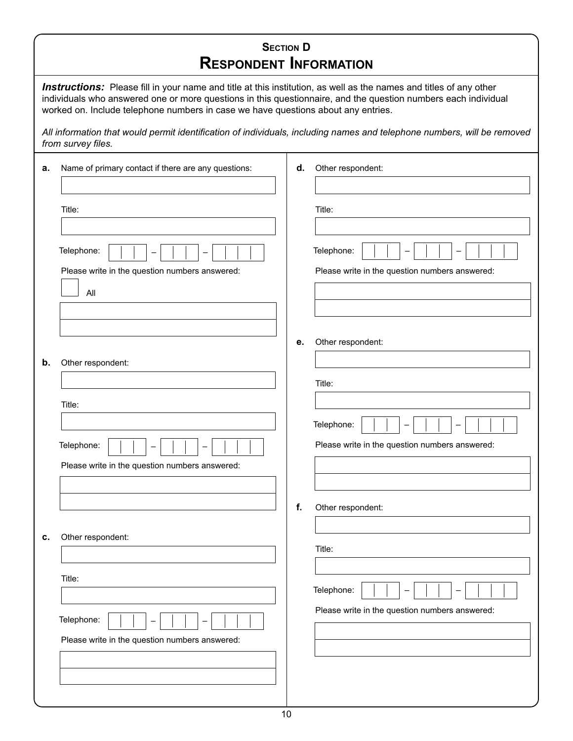|    | <b>SECTION D</b><br><b>RESPONDENT INFORMATION</b>                                                                                                                                                                                                                                                                                |    |                                                              |  |  |  |  |
|----|----------------------------------------------------------------------------------------------------------------------------------------------------------------------------------------------------------------------------------------------------------------------------------------------------------------------------------|----|--------------------------------------------------------------|--|--|--|--|
|    | <b>Instructions:</b> Please fill in your name and title at this institution, as well as the names and titles of any other<br>individuals who answered one or more questions in this questionnaire, and the question numbers each individual<br>worked on. Include telephone numbers in case we have questions about any entries. |    |                                                              |  |  |  |  |
|    | All information that would permit identification of individuals, including names and telephone numbers, will be removed<br>from survey files.                                                                                                                                                                                    |    |                                                              |  |  |  |  |
| а. | Name of primary contact if there are any questions:                                                                                                                                                                                                                                                                              | d. | Other respondent:                                            |  |  |  |  |
|    | Title:                                                                                                                                                                                                                                                                                                                           |    | Title:                                                       |  |  |  |  |
|    | Telephone:                                                                                                                                                                                                                                                                                                                       |    | Telephone:                                                   |  |  |  |  |
|    | Please write in the question numbers answered:<br>All                                                                                                                                                                                                                                                                            |    | Please write in the question numbers answered:               |  |  |  |  |
|    |                                                                                                                                                                                                                                                                                                                                  | е. | Other respondent:                                            |  |  |  |  |
| b. | Other respondent:                                                                                                                                                                                                                                                                                                                |    |                                                              |  |  |  |  |
|    | Title:                                                                                                                                                                                                                                                                                                                           |    | Title:                                                       |  |  |  |  |
|    |                                                                                                                                                                                                                                                                                                                                  |    | Telephone:                                                   |  |  |  |  |
|    | Telephone:<br>$\mathbf{I}$<br>$\mathbf{I}$<br>-1<br>$\mathbf{I}$                                                                                                                                                                                                                                                                 |    | Please write in the question numbers answered:               |  |  |  |  |
|    | Please write in the question numbers answered:                                                                                                                                                                                                                                                                                   |    |                                                              |  |  |  |  |
|    |                                                                                                                                                                                                                                                                                                                                  | f. | Other respondent:                                            |  |  |  |  |
| c. | Other respondent:                                                                                                                                                                                                                                                                                                                |    | Title:                                                       |  |  |  |  |
|    | Title:                                                                                                                                                                                                                                                                                                                           |    |                                                              |  |  |  |  |
|    |                                                                                                                                                                                                                                                                                                                                  |    | Telephone:<br>Please write in the question numbers answered: |  |  |  |  |
|    | Telephone:                                                                                                                                                                                                                                                                                                                       |    |                                                              |  |  |  |  |
|    | Please write in the question numbers answered:                                                                                                                                                                                                                                                                                   |    |                                                              |  |  |  |  |
|    |                                                                                                                                                                                                                                                                                                                                  |    |                                                              |  |  |  |  |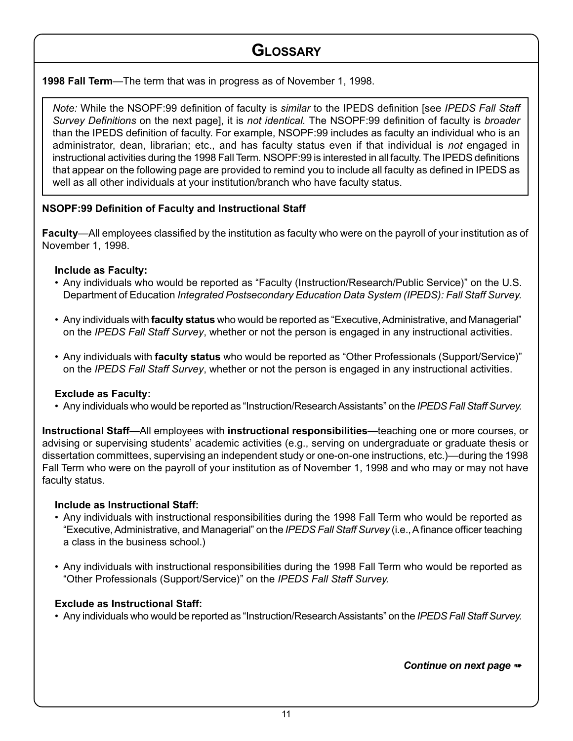### **GLOSSARY**

**1998 Fall Term**—The term that was in progress as of November 1, 1998.

Note: While the NSOPF:99 definition of faculty is similar to the IPEDS definition [see IPEDS Fall Staff Survey Definitions on the next pagel, it is not identical. The NSOPF:99 definition of faculty is broader than the IPEDS definition of faculty. For example, NSOPF:99 includes as faculty an individual who is an administrator, dean, librarian; etc., and has faculty status even if that individual is not engaged in instructional activities during the 1998 Fall Term. NSOPF:99 is interested in all faculty. The IPEDS definitions that appear on the following page are provided to remind you to include all faculty as defined in IPEDS as well as all other individuals at your institution/branch who have faculty status.

### **NSOPF:99 Definition of Faculty and Instructional Staff**

**Faculty**—All employees classified by the institution as faculty who were on the payroll of your institution as of November 1, 1998.

### **Include as Faculty:**

- Any individuals who would be reported as "Faculty (Instruction/Research/Public Service)" on the U.S. Department of Education Integrated Postsecondary Education Data System (IPEDS): Fall Staff Survey.
- Any individuals with **faculty status** who would be reported as "Executive, Administrative, and Managerial" on the IPEDS Fall Staff Survey, whether or not the person is engaged in any instructional activities.
- Any individuals with **faculty status** who would be reported as "Other Professionals (Support/Service)" on the IPEDS Fall Staff Survey, whether or not the person is engaged in any instructional activities.

### **Exclude as Faculty:**

• Any individuals who would be reported as "Instruction/Research Assistants" on the IPEDS Fall Staff Survey.

**Instructional Staff**—All employees with **instructional responsibilities**—teaching one or more courses, or advising or supervising students' academic activities (e.g., serving on undergraduate or graduate thesis or dissertation committees, supervising an independent study or one-on-one instructions, etc.)—during the 1998 Fall Term who were on the payroll of your institution as of November 1, 1998 and who may or may not have faculty status.

### **Include as Instructional Staff:**

- Any individuals with instructional responsibilities during the 1998 Fall Term who would be reported as "Executive, Administrative, and Managerial" on the IPEDS Fall Staff Survey (i.e., A finance officer teaching a class in the business school.)
- Any individuals with instructional responsibilities during the 1998 Fall Term who would be reported as "Other Professionals (Support/Service)" on the IPEDS Fall Staff Survey.

### **Exclude as Instructional Staff:**

• Any individuals who would be reported as "Instruction/Research Assistants" on the IPEDS Fall Staff Survey.

*Continue on next page* ➠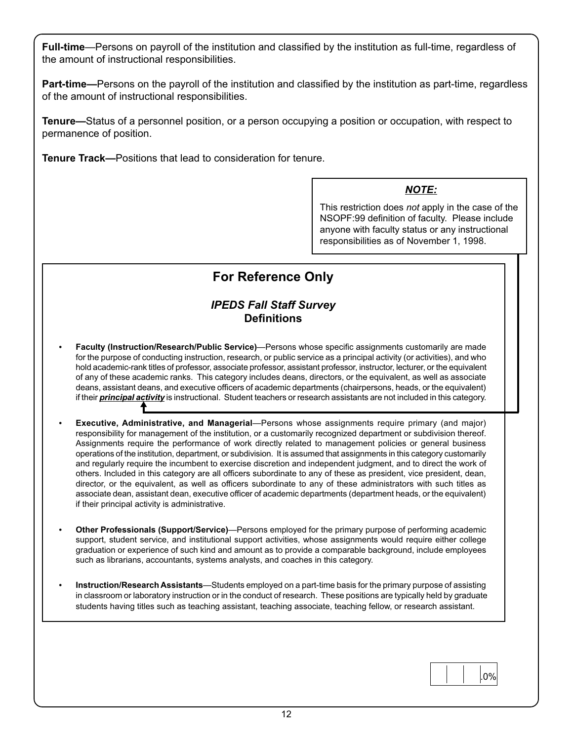**Full-time**—Persons on payroll of the institution and classified by the institution as full-time, regardless of the amount of instructional responsibilities.

**Part-time—**Persons on the payroll of the institution and classified by the institution as part-time, regardless of the amount of instructional responsibilities.

**Tenure—**Status of a personnel position, or a person occupying a position or occupation, with respect to permanence of position.

**Tenure Track—**Positions that lead to consideration for tenure.

### *NOTE:*

This restriction does not apply in the case of the NSOPF:99 definition of faculty. Please include anyone with faculty status or any instructional responsibilities as of November 1, 1998.

#### **START HERE For Reference Only**

### *IPEDS Fall Staff Survey* **Definitions**

- **Facuity (instruction/Research/Public Service)**—Persons whose specific assignments customarily are made<br>for the purpose of conducting instruction, research, or public service as a principal activity (or activities), and wh , deans, assistant deans, and executive officers of academic departments (chairpersons, heads, or the equivalent) • **Faculty (Instruction/Research/Public Service)**—Persons whose specific assignments customarily are made hold academic-rank titles of professor, associate professor, assistant professor, instructor, lecturer, or the equivalent of any of these academic ranks. This category includes deans, directors, or the equivalent, as well as associate if their *principal activity* is instructional. Student teachers or research assistants are not included in this category.
- **Executive, Administrative, and Managerial**—Persons whose assignments require primary (and major) responsibility for management of the institution, or a customarily recognized department or subdivision thereof. Assignments require the performance of work directly related to management policies or general business operations of the institution, department, or subdivision. It is assumed that assignments in this category customarily and regularly require the incumbent to exercise discretion and independent judgment, and to direct the work of others. Included in this category are all officers subordinate to any of these as president, vice president, dean, director, or the equivalent, as well as officers subordinate to any of these administrators with such titles as associate dean, assistant dean, executive officer of academic departments (department heads, or the equivalent) if their principal activity is administrative.
- **Other Professionals (Support/Service)**—Persons employed for the primary purpose of performing academic support, student service, and institutional support activities, whose assignments would require either college graduation or experience of such kind and amount as to provide a comparable background, include employees such as librarians, accountants, systems analysts, and coaches in this category.
- **Instruction/Research Assistants**—Students employed on a part-time basis for the primary purpose of assisting in classroom or laboratory instruction or in the conduct of research. These positions are typically held by graduate students having titles such as teaching assistant, teaching associate, teaching fellow, or research assistant.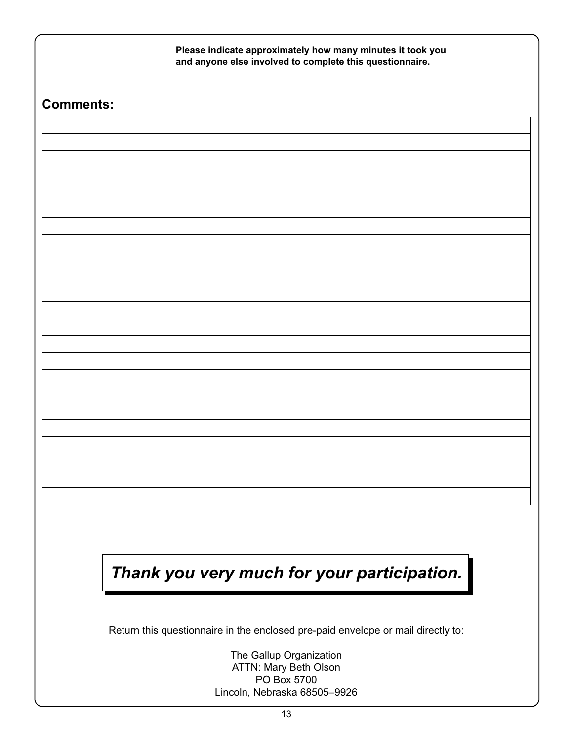| <b>Comments:</b> |                                                                                  |
|------------------|----------------------------------------------------------------------------------|
|                  |                                                                                  |
|                  |                                                                                  |
|                  |                                                                                  |
|                  |                                                                                  |
|                  |                                                                                  |
|                  |                                                                                  |
|                  |                                                                                  |
|                  |                                                                                  |
|                  |                                                                                  |
|                  |                                                                                  |
|                  |                                                                                  |
|                  |                                                                                  |
|                  |                                                                                  |
|                  |                                                                                  |
|                  |                                                                                  |
|                  |                                                                                  |
|                  |                                                                                  |
|                  |                                                                                  |
|                  |                                                                                  |
|                  |                                                                                  |
|                  |                                                                                  |
|                  |                                                                                  |
|                  | Thank you very much for your participation.                                      |
|                  |                                                                                  |
|                  |                                                                                  |
|                  | Return this questionnaire in the enclosed pre-paid envelope or mail directly to: |

Lincoln, Nebraska 68505–9926